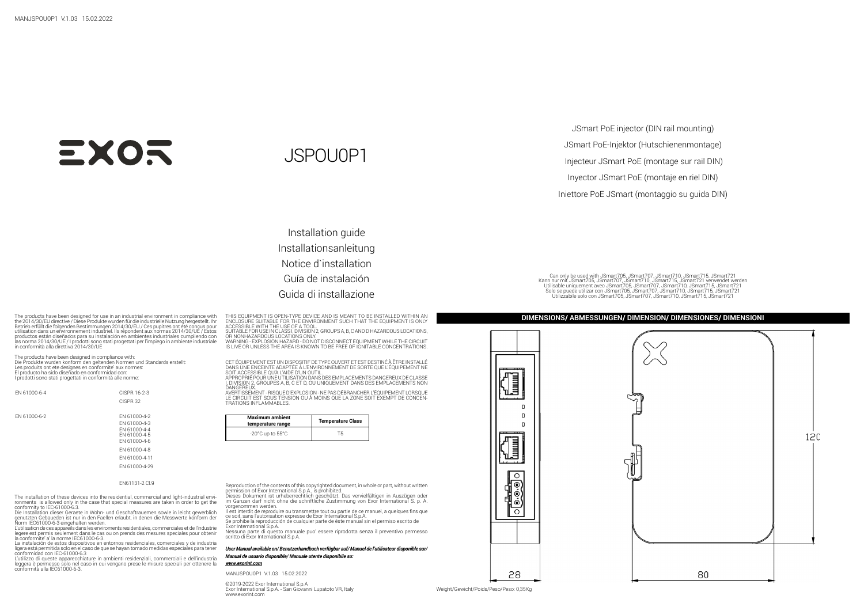## **EXOR**

JSPOU0P1

JSmart PoE-Injektor (Hutschienenmontage) Injecteur JSmart PoE (montage sur rail DIN) Inyector JSmart PoE (montaje en riel DIN) Iniettore PoE JSmart (montaggio su guida DIN)

Can only be used with JSmart705, JSmart707, JSmart710, JSmart710, JSmart710, JSmart710, JSmart710, JSmart710, JSmart710, JSmart712, JSmart712, JSmart710, JSmart710, JSmart710, JSmart710, JSmart710, JSmart710, JSmart710, JS Solo se puede utilizar con JSmart705, JSmart707, JSmart710, JSmart715, JSmart721 Utilizzabile solo con JSmart705, JSmart707, JSmart710, JSmart715, JSmart721

JSmart PoE injector (DIN rail mounting)

Installation guide Installationsanleitung Notice d`installation Guía de instalación Guida di installazione

The products have been designed for use in a industrial environment in compliance with a ENDI PRODUCT ENGLISHAT COMPLISHAT THE ENVIRONMENT NUMERAT TO BE DIMENSION **DIMENSIONS/ ABMESSUNGEN/ DIMENSIONS / DIMENSIONES/ DIMENSI** the 2014/30/EU directive / Diese Produkte wurden für die industrielle Nutzung hergestellt. Ihr<br>Betrieb erfüllt die folgenden Bestimmungen 2014/30/EU / Ces pupitres ont été conçus pour<br>utilisation dans un environnement indu productos están diseñados para su instalación en ambientes industriales cumpliendo con las norma 2014/30/UE / I prodotti sono stati progettati per l'impiego in ambiente industriale in conformità alla direttiva 2014/30/UE

The products have been designed in compliance with:<br>Die Produkte wurden konform den geltenden Normen und Standards erstellt:<br>Les produits ont ete designes en conformite' aux normes: El producto ha sido diseñado en conformidad con: I prodotti sono stati progettati in conformità alle norme:

| FN 61000-6-4 | CISPR 16-2-3<br>CISPR 32                                                                                                       |
|--------------|--------------------------------------------------------------------------------------------------------------------------------|
| FN 61000-6-2 | FN 61000-4-2<br>FN 61000-4-3<br>EN 61000-4-4<br>FN 61000-4-5<br>FN 61000-4-6<br>FN 61000-4-8<br>EN 61000-4-11<br>FN 61000-4-29 |

## EN61131-2 Cl.9

The installation of these devices into the residential, commercial and light-industrial envi-<br>ronments is allowed only in the case that special measures are taken in order to get the<br>conformity to IEC-61000-6.3.

Die Installation dieser Geraete in Wohn- und Geschaftrauemen sowie in leicht gewerblich genutzten Gebaueden ist nur in den Faellen erlaubt, in denen die Messwerte konform der Norm IEC61000-6-3 eingehalten werden.

L'utilisation de ces appareils dans les enviroments residentiales, commerciales et de l'industrie legere est permis seulement dans le cas ou on prends des mesures speciales pour obtenir la conformite' a' la norme IEC61000-6-3.

La instalación de estos dispositivos en entornos residenciales, comerciales y de industria ligera está permitida solo en el caso de que se hayan tomado medidas especiales para tener conformidad con IEC-61000-6.3

L'utilizzo di queste apparecchiature in ambienti residenziali, commerciali e dell'industria leggera è permesso solo nel caso in cui vengano prese le misure speciali per ottenere la conformità alla IEC61000-6-3. THIS EQUIPMENT IS OPEN-TYPE DEVICE AND IS MEANT TO BE INSTALLED WITHIN AN ENCLOSURE SUITABLE FOR THE ENVIRONMENT SUCH THAT THE EQUIPMENT IS ONLY ACCESSIBLE WITH THE USE OF A TOOL.

SUITABLE FOR USE IN CLASS I, DIVISION 2, GROUPS A, B, C AND D HAZARDOUS LOCATIONS, OR NONHAZARDOUS LOCATIONS ONLY. WARNING - EXPLOSION HAZARD - DO NOT DISCONNECT EQUIPMENT WHILE THE CIRCUIT IS LIVE OR UNLESS THE AREA IS KNOWN TO BE FREE OF IGNITABLE CONCENTRATIONS.

CET EQUIPEMENT EST UN DISPOSITIF DE TYPE OUVERT ET EST DESTINE À ÉTRE INSTALLE<br>DANS UNE ENCEINTE ADAPTÉE À L'ENVIRONNEMENT DE SORTE QUE L'ÉQUIPEMENT NE SOIT ACCESSIBLE QU'À L'AIDE D'UN OUTIL. APPROPRIÉ POUR UNE UTILISATION DANS DES EMPLACEMENTS DANGEREUX DE CLASSE

I, DIVISION 2, GROUPES A, B, C ET D, OU UNIQUEMENT DANS DES EMPLACEMENTS NON

DANGEREUX. AVERTISSEMENT - RISQUE D'EXPLOSION - NE PAS DÉBRANCHER L'ÉQUIPEMENT LORSQUE LE CIRCUIT EST SOUS TENSION OU À MOINS QUE LA ZONE SOIT EXEMPT DE CONCEN- TRATIONS INFLAMMABLES.

| temperature range                    | <b>Temperature Class</b> |
|--------------------------------------|--------------------------|
| $-20^{\circ}$ C up to $55^{\circ}$ C |                          |

Reproduction of the contents of this copyrighted document, in whole or part, without written permission of Exor International S.p.A., is prohibited.

Dieses Dokument ist urheberrechtlich geschützt. Das vervielfältigen in Auszügen oder im Ganzen darf nicht ohne die schriftliche Zustimmung von Exor International S. p. A. vorgenommen werden.

Il est interdit de reproduire ou transmettre tout ou partie de ce manuel, a quelques fins que ce soit, sans l'autorisation expresse de Exor International S.p.A. Se prohibe la reproducción de cualquier parte de éste manual sin el permiso escrito de

Exor International S.p.A. Nessuna parte di questo manuale puo' essere riprodotta senza il preventivo permesso scritto di Exor International S.p.A.

*User Manual available on/ Benutzerhandbuch verfügbar auf/ Manuel de l'utilisateur disponible sur/ Manual de usuario disponible/ Manuale utente disponibile su:*

## *www.exorint.com*

MANJSPOU0P1 V1.03 15.02.2022

©2019-2022 Exor International S.p.A Exor International S.p.A. - San Giovanni Lupatoto VR, Italy www.exorint.com

Weight/Gewicht/Poids/Peso/Peso: 0,35Kg

28